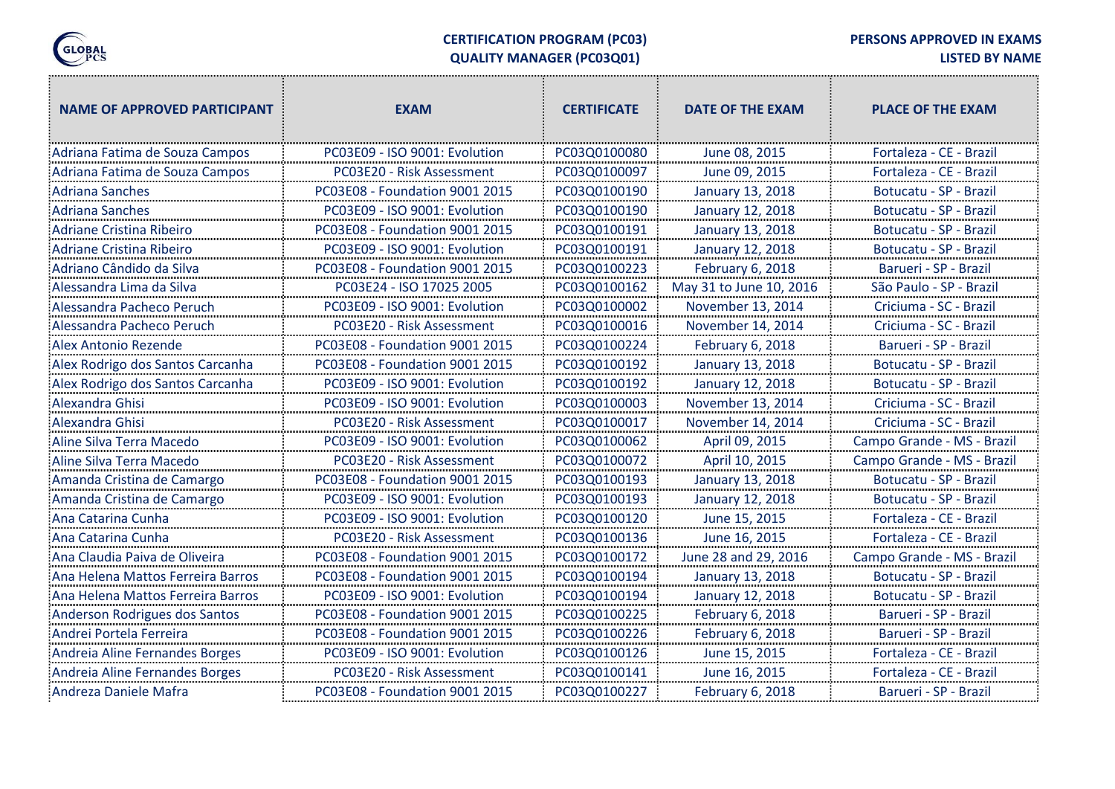

**PERSONS APPROVED IN EXAMS**

**QUALITY MANAGER (PC03Q01)**

| <b>NAME OF APPROVED PARTICIPANT</b> | <b>EXAM</b>                    | <b>CERTIFICATE</b> | <b>DATE OF THE EXAM</b> | <b>PLACE OF THE EXAM</b>   |
|-------------------------------------|--------------------------------|--------------------|-------------------------|----------------------------|
| Adriana Fatima de Souza Campos      | PC03E09 - ISO 9001: Evolution  | PC03Q0100080       | June 08, 2015           | Fortaleza - CE - Brazil    |
| Adriana Fatima de Souza Campos      | PC03E20 - Risk Assessment      | PC03Q0100097       | June 09, 2015           | Fortaleza - CE - Brazil    |
| <b>Adriana Sanches</b>              | PC03E08 - Foundation 9001 2015 | PC03Q0100190       | January 13, 2018        | Botucatu - SP - Brazil     |
| Adriana Sanches                     | PC03E09 - ISO 9001: Evolution  | PC03Q0100190       | January 12, 2018        | Botucatu - SP - Brazil     |
| <b>Adriane Cristina Ribeiro</b>     | PC03E08 - Foundation 9001 2015 | PC03Q0100191       | January 13, 2018        | Botucatu - SP - Brazil     |
| Adriane Cristina Ribeiro            | PC03E09 - ISO 9001: Evolution  | PC03Q0100191       | January 12, 2018        | Botucatu - SP - Brazil     |
| Adriano Cândido da Silva            | PC03E08 - Foundation 9001 2015 | PC03Q0100223       | February 6, 2018        | Barueri - SP - Brazil      |
| Alessandra Lima da Silva            | PC03E24 - ISO 17025 2005       | PC03Q0100162       | May 31 to June 10, 2016 | São Paulo - SP - Brazil    |
| Alessandra Pacheco Peruch           | PC03E09 - ISO 9001: Evolution  | PC03Q0100002       | November 13, 2014       | Criciuma - SC - Brazil     |
| Alessandra Pacheco Peruch           | PC03E20 - Risk Assessment      | PC03Q0100016       | November 14, 2014       | Criciuma - SC - Brazil     |
| Alex Antonio Rezende                | PC03E08 - Foundation 9001 2015 | PC03Q0100224       | February 6, 2018        | Barueri - SP - Brazil      |
| Alex Rodrigo dos Santos Carcanha    | PC03E08 - Foundation 9001 2015 | PC03Q0100192       | January 13, 2018        | Botucatu - SP - Brazil     |
| Alex Rodrigo dos Santos Carcanha    | PC03E09 - ISO 9001: Evolution  | PC03Q0100192       | January 12, 2018        | Botucatu - SP - Brazil     |
| Alexandra Ghisi                     | PC03E09 - ISO 9001: Evolution  | PC03Q0100003       | November 13, 2014       | Criciuma - SC - Brazil     |
| Alexandra Ghisi                     | PC03E20 - Risk Assessment      | PC03Q0100017       | November 14, 2014       | Criciuma - SC - Brazil     |
| Aline Silva Terra Macedo            | PC03E09 - ISO 9001: Evolution  | PC03Q0100062       | April 09, 2015          | Campo Grande - MS - Brazil |
| Aline Silva Terra Macedo            | PC03E20 - Risk Assessment      | PC03Q0100072       | April 10, 2015          | Campo Grande - MS - Brazil |
| Amanda Cristina de Camargo          | PC03E08 - Foundation 9001 2015 | PC03Q0100193       | January 13, 2018        | Botucatu - SP - Brazil     |
| Amanda Cristina de Camargo          | PC03E09 - ISO 9001: Evolution  | PC03Q0100193       | January 12, 2018        | Botucatu - SP - Brazil     |
| Ana Catarina Cunha                  | PC03E09 - ISO 9001: Evolution  | PC03Q0100120       | June 15, 2015           | Fortaleza - CE - Brazil    |
| Ana Catarina Cunha                  | PC03E20 - Risk Assessment      | PC03Q0100136       | June 16, 2015           | Fortaleza - CE - Brazil    |
| Ana Claudia Paiva de Oliveira       | PC03E08 - Foundation 9001 2015 | PC03Q0100172       | June 28 and 29, 2016    | Campo Grande - MS - Brazil |
| Ana Helena Mattos Ferreira Barros   | PC03E08 - Foundation 9001 2015 | PC03Q0100194       | January 13, 2018        | Botucatu - SP - Brazil     |
| Ana Helena Mattos Ferreira Barros   | PC03E09 - ISO 9001: Evolution  | PC03Q0100194       | January 12, 2018        | Botucatu - SP - Brazil     |
| Anderson Rodrigues dos Santos       | PC03E08 - Foundation 9001 2015 | PC03Q0100225       | February 6, 2018        | Barueri - SP - Brazil      |
| Andrei Portela Ferreira             | PC03E08 - Foundation 9001 2015 | PC03Q0100226       | February 6, 2018        | Barueri - SP - Brazil      |
| Andreia Aline Fernandes Borges      | PC03E09 - ISO 9001: Evolution  | PC03Q0100126       | June 15, 2015           | Fortaleza - CE - Brazil    |
| Andreia Aline Fernandes Borges      | PC03E20 - Risk Assessment      | PC03Q0100141       | June 16, 2015           | Fortaleza - CE - Brazil    |
| Andreza Daniele Mafra               | PC03E08 - Foundation 9001 2015 | PC03Q0100227       | <b>February 6, 2018</b> | Barueri - SP - Brazil      |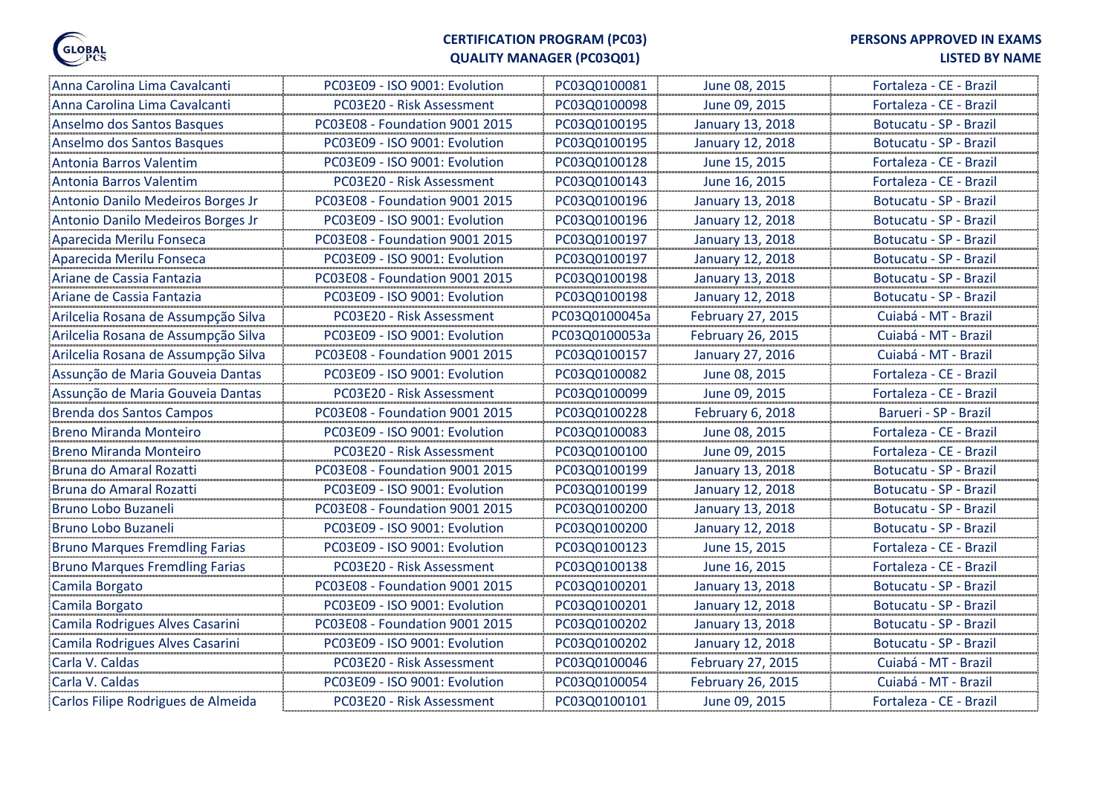

#### **PERSONS APPROVED IN EXAMS**

### **QUALITY MANAGER (PC03Q01)**

| Anna Carolina Lima Cavalcanti         | PC03E09 - ISO 9001: Evolution  | PC03Q0100081  | June 08, 2015     | Fortaleza - CE - Brazil |
|---------------------------------------|--------------------------------|---------------|-------------------|-------------------------|
| Anna Carolina Lima Cavalcanti         | PC03E20 - Risk Assessment      | PC03Q0100098  | June 09, 2015     | Fortaleza - CE - Brazil |
| Anselmo dos Santos Basques            | PC03E08 - Foundation 9001 2015 | PC03Q0100195  | January 13, 2018  | Botucatu - SP - Brazil  |
| Anselmo dos Santos Basques            | PC03E09 - ISO 9001: Evolution  | PC03Q0100195  | January 12, 2018  | Botucatu - SP - Brazil  |
| Antonia Barros Valentim               | PC03E09 - ISO 9001: Evolution  | PC03Q0100128  | June 15, 2015     | Fortaleza - CE - Brazil |
| Antonia Barros Valentim               | PC03E20 - Risk Assessment      | PC03Q0100143  | June 16, 2015     | Fortaleza - CE - Brazil |
| Antonio Danilo Medeiros Borges Jr     | PC03E08 - Foundation 9001 2015 | PC03Q0100196  | January 13, 2018  | Botucatu - SP - Brazil  |
| Antonio Danilo Medeiros Borges Jr     | PC03E09 - ISO 9001: Evolution  | PC03Q0100196  | January 12, 2018  | Botucatu - SP - Brazil  |
| Aparecida Merilu Fonseca              | PC03E08 - Foundation 9001 2015 | PC03Q0100197  | January 13, 2018  | Botucatu - SP - Brazil  |
| Aparecida Merilu Fonseca              | PC03E09 - ISO 9001: Evolution  | PC03Q0100197  | January 12, 2018  | Botucatu - SP - Brazil  |
| Ariane de Cassia Fantazia             | PC03E08 - Foundation 9001 2015 | PC03Q0100198  | January 13, 2018  | Botucatu - SP - Brazil  |
| Ariane de Cassia Fantazia             | PC03E09 - ISO 9001: Evolution  | PC03Q0100198  | January 12, 2018  | Botucatu - SP - Brazil  |
| Arilcelia Rosana de Assumpção Silva   | PC03E20 - Risk Assessment      | PC03Q0100045a | February 27, 2015 | Cuiabá - MT - Brazil    |
| Arilcelia Rosana de Assumpção Silva   | PC03E09 - ISO 9001: Evolution  | PC03Q0100053a | February 26, 2015 | Cuiabá - MT - Brazil    |
| Arilcelia Rosana de Assumpção Silva   | PC03E08 - Foundation 9001 2015 | PC03Q0100157  | January 27, 2016  | Cuiabá - MT - Brazil    |
| Assunção de Maria Gouveia Dantas      | PC03E09 - ISO 9001: Evolution  | PC03Q0100082  | June 08, 2015     | Fortaleza - CE - Brazil |
| Assunção de Maria Gouveia Dantas      | PC03E20 - Risk Assessment      | PC03Q0100099  | June 09, 2015     | Fortaleza - CE - Brazil |
| <b>Brenda dos Santos Campos</b>       | PC03E08 - Foundation 9001 2015 | PC03Q0100228  | February 6, 2018  | Barueri - SP - Brazil   |
| <b>Breno Miranda Monteiro</b>         | PC03E09 - ISO 9001: Evolution  | PC03Q0100083  | June 08, 2015     | Fortaleza - CE - Brazil |
| <b>Breno Miranda Monteiro</b>         | PC03E20 - Risk Assessment      | PC03Q0100100  | June 09, 2015     | Fortaleza - CE - Brazil |
| Bruna do Amaral Rozatti               | PC03E08 - Foundation 9001 2015 | PC03Q0100199  | January 13, 2018  | Botucatu - SP - Brazil  |
| Bruna do Amaral Rozatti               | PC03E09 - ISO 9001: Evolution  | PC03Q0100199  | January 12, 2018  | Botucatu - SP - Brazil  |
| Bruno Lobo Buzaneli                   | PC03E08 - Foundation 9001 2015 | PC03Q0100200  | January 13, 2018  | Botucatu - SP - Brazil  |
| Bruno Lobo Buzaneli                   | PC03E09 - ISO 9001: Evolution  | PC03Q0100200  | January 12, 2018  | Botucatu - SP - Brazil  |
| <b>Bruno Marques Fremdling Farias</b> | PC03E09 - ISO 9001: Evolution  | PC03Q0100123  | June 15, 2015     | Fortaleza - CE - Brazil |
| <b>Bruno Marques Fremdling Farias</b> | PC03E20 - Risk Assessment      | PC03Q0100138  | June 16, 2015     | Fortaleza - CE - Brazil |
| Camila Borgato                        | PC03E08 - Foundation 9001 2015 | PC03Q0100201  | January 13, 2018  | Botucatu - SP - Brazil  |
| Camila Borgato                        | PC03E09 - ISO 9001: Evolution  | PC03Q0100201  | January 12, 2018  | Botucatu - SP - Brazil  |
| Camila Rodrigues Alves Casarini       | PC03E08 - Foundation 9001 2015 | PC03Q0100202  | January 13, 2018  | Botucatu - SP - Brazil  |
| Camila Rodrigues Alves Casarini       | PC03E09 - ISO 9001: Evolution  | PC03Q0100202  | January 12, 2018  | Botucatu - SP - Brazil  |
| Carla V. Caldas                       | PC03E20 - Risk Assessment      | PC03Q0100046  | February 27, 2015 | Cuiabá - MT - Brazil    |
| Carla V. Caldas                       | PC03E09 - ISO 9001: Evolution  | PC03Q0100054  | February 26, 2015 | Cuiabá - MT - Brazil    |
| Carlos Filipe Rodrigues de Almeida    | PC03E20 - Risk Assessment      | PC03Q0100101  | June 09, 2015     | Fortaleza - CE - Brazil |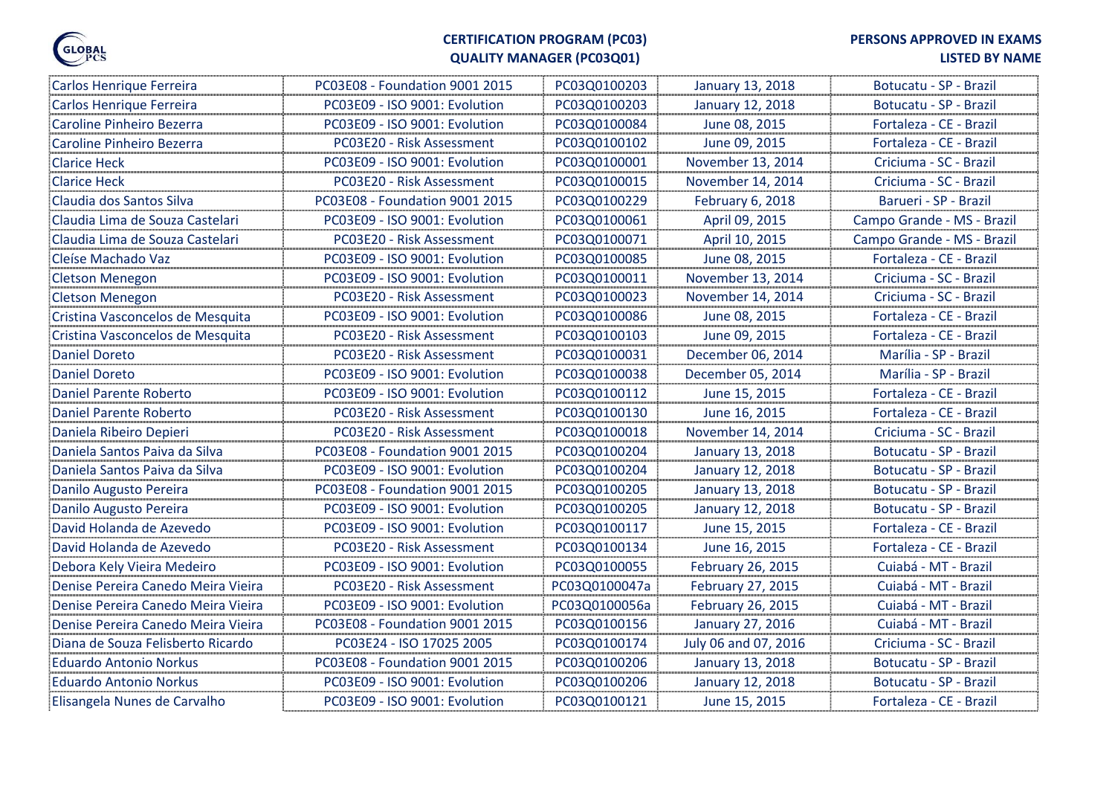

#### **PERSONS APPROVED IN EXAMS**

### **QUALITY MANAGER (PC03Q01)**

| Carlos Henrique Ferreira           | PC03E08 - Foundation 9001 2015 | PC03Q0100203  | January 13, 2018     | Botucatu - SP - Brazil     |
|------------------------------------|--------------------------------|---------------|----------------------|----------------------------|
| Carlos Henrique Ferreira           | PC03E09 - ISO 9001: Evolution  | PC03Q0100203  | January 12, 2018     | Botucatu - SP - Brazil     |
| <b>Caroline Pinheiro Bezerra</b>   | PC03E09 - ISO 9001: Evolution  | PC03Q0100084  | June 08, 2015        | Fortaleza - CE - Brazil    |
| <b>Caroline Pinheiro Bezerra</b>   | PC03E20 - Risk Assessment      | PC03Q0100102  | June 09, 2015        | Fortaleza - CE - Brazil    |
| <b>Clarice Heck</b>                | PC03E09 - ISO 9001: Evolution  | PC03Q0100001  | November 13, 2014    | Criciuma - SC - Brazil     |
| <b>Clarice Heck</b>                | PC03E20 - Risk Assessment      | PC03Q0100015  | November 14, 2014    | Criciuma - SC - Brazil     |
| Claudia dos Santos Silva           | PC03E08 - Foundation 9001 2015 | PC03Q0100229  | February 6, 2018     | Barueri - SP - Brazil      |
| Claudia Lima de Souza Castelari    | PC03E09 - ISO 9001: Evolution  | PC03Q0100061  | April 09, 2015       | Campo Grande - MS - Brazil |
| Claudia Lima de Souza Castelari    | PC03E20 - Risk Assessment      | PC03Q0100071  | April 10, 2015       | Campo Grande - MS - Brazil |
| Cleíse Machado Vaz                 | PC03E09 - ISO 9001: Evolution  | PC03Q0100085  | June 08, 2015        | Fortaleza - CE - Brazil    |
| <b>Cletson Menegon</b>             | PC03E09 - ISO 9001: Evolution  | PC03Q0100011  | November 13, 2014    | Criciuma - SC - Brazil     |
| <b>Cletson Menegon</b>             | PC03E20 - Risk Assessment      | PC03Q0100023  | November 14, 2014    | Criciuma - SC - Brazil     |
| Cristina Vasconcelos de Mesquita   | PC03E09 - ISO 9001: Evolution  | PC03Q0100086  | June 08, 2015        | Fortaleza - CE - Brazil    |
| Cristina Vasconcelos de Mesquita   | PC03E20 - Risk Assessment      | PC03Q0100103  | June 09, 2015        | Fortaleza - CE - Brazil    |
| <b>Daniel Doreto</b>               | PC03E20 - Risk Assessment      | PC03Q0100031  | December 06, 2014    | Marília - SP - Brazil      |
| <b>Daniel Doreto</b>               | PC03E09 - ISO 9001: Evolution  | PC03Q0100038  | December 05, 2014    | Marília - SP - Brazil      |
| Daniel Parente Roberto             | PC03E09 - ISO 9001: Evolution  | PC03Q0100112  | June 15, 2015        | Fortaleza - CE - Brazil    |
| <b>Daniel Parente Roberto</b>      | PC03E20 - Risk Assessment      | PC03Q0100130  | June 16, 2015        | Fortaleza - CE - Brazil    |
| Daniela Ribeiro Depieri            | PC03E20 - Risk Assessment      | PC03Q0100018  | November 14, 2014    | Criciuma - SC - Brazil     |
| Daniela Santos Paiva da Silva      | PC03E08 - Foundation 9001 2015 | PC03Q0100204  | January 13, 2018     | Botucatu - SP - Brazil     |
| Daniela Santos Paiva da Silva      | PC03E09 - ISO 9001: Evolution  | PC03Q0100204  | January 12, 2018     | Botucatu - SP - Brazil     |
| Danilo Augusto Pereira             | PC03E08 - Foundation 9001 2015 | PC03Q0100205  | January 13, 2018     | Botucatu - SP - Brazil     |
| Danilo Augusto Pereira             | PC03E09 - ISO 9001: Evolution  | PC03Q0100205  | January 12, 2018     | Botucatu - SP - Brazil     |
| David Holanda de Azevedo           | PC03E09 - ISO 9001: Evolution  | PC03Q0100117  | June 15, 2015        | Fortaleza - CE - Brazil    |
| David Holanda de Azevedo           | PC03E20 - Risk Assessment      | PC03Q0100134  | June 16, 2015        | Fortaleza - CE - Brazil    |
| Debora Kely Vieira Medeiro         | PC03E09 - ISO 9001: Evolution  | PC03Q0100055  | February 26, 2015    | Cuiabá - MT - Brazil       |
| Denise Pereira Canedo Meira Vieira | PC03E20 - Risk Assessment      | PC03Q0100047a | February 27, 2015    | Cuiabá - MT - Brazil       |
| Denise Pereira Canedo Meira Vieira | PC03E09 - ISO 9001: Evolution  | PC03Q0100056a | February 26, 2015    | Cuiabá - MT - Brazil       |
| Denise Pereira Canedo Meira Vieira | PC03E08 - Foundation 9001 2015 | PC03Q0100156  | January 27, 2016     | Cuiabá - MT - Brazil       |
| Diana de Souza Felisberto Ricardo  | PC03E24 - ISO 17025 2005       | PC03Q0100174  | July 06 and 07, 2016 | Criciuma - SC - Brazil     |
| <b>Eduardo Antonio Norkus</b>      | PC03E08 - Foundation 9001 2015 | PC03Q0100206  | January 13, 2018     | Botucatu - SP - Brazil     |
| <b>Eduardo Antonio Norkus</b>      | PC03E09 - ISO 9001: Evolution  | PC03Q0100206  | January 12, 2018     | Botucatu - SP - Brazil     |
| Elisangela Nunes de Carvalho       | PC03E09 - ISO 9001: Evolution  | PC03Q0100121  | June 15, 2015        | Fortaleza - CE - Brazil    |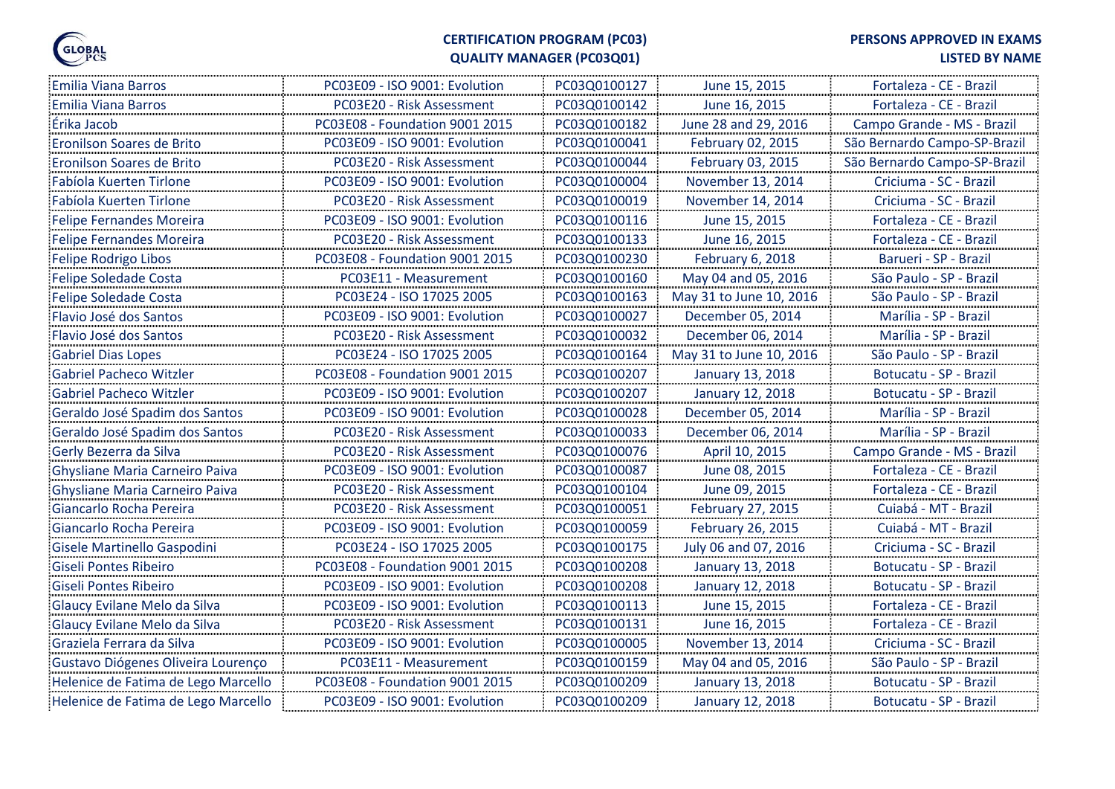

#### **PERSONS APPROVED IN EXAMS**

| <b>Emilia Viana Barros</b>          | PC03E09 - ISO 9001: Evolution  | PC03Q0100127 | June 15, 2015           | Fortaleza - CE - Brazil      |
|-------------------------------------|--------------------------------|--------------|-------------------------|------------------------------|
| <b>Emilia Viana Barros</b>          | PC03E20 - Risk Assessment      | PC03Q0100142 | June 16, 2015           | Fortaleza - CE - Brazil      |
| Érika Jacob                         | PC03E08 - Foundation 9001 2015 | PC03Q0100182 | June 28 and 29, 2016    | Campo Grande - MS - Brazil   |
| Eronilson Soares de Brito           | PC03E09 - ISO 9001: Evolution  | PC03Q0100041 | February 02, 2015       | São Bernardo Campo-SP-Brazil |
| Eronilson Soares de Brito           | PC03E20 - Risk Assessment      | PC03Q0100044 | February 03, 2015       | São Bernardo Campo-SP-Brazil |
| Fabíola Kuerten Tirlone             | PC03E09 - ISO 9001: Evolution  | PC03Q0100004 | November 13, 2014       | Criciuma - SC - Brazil       |
| Fabíola Kuerten Tirlone             | PC03E20 - Risk Assessment      | PC03Q0100019 | November 14, 2014       | Criciuma - SC - Brazil       |
| <b>Felipe Fernandes Moreira</b>     | PC03E09 - ISO 9001: Evolution  | PC03Q0100116 | June 15, 2015           | Fortaleza - CE - Brazil      |
| <b>Felipe Fernandes Moreira</b>     | PC03E20 - Risk Assessment      | PC03Q0100133 | June 16, 2015           | Fortaleza - CE - Brazil      |
| <b>Felipe Rodrigo Libos</b>         | PC03E08 - Foundation 9001 2015 | PC03Q0100230 | February 6, 2018        | Barueri - SP - Brazil        |
| <b>Felipe Soledade Costa</b>        | PC03E11 - Measurement          | PC03Q0100160 | May 04 and 05, 2016     | São Paulo - SP - Brazil      |
| <b>Felipe Soledade Costa</b>        | PC03E24 - ISO 17025 2005       | PC03Q0100163 | May 31 to June 10, 2016 | São Paulo - SP - Brazil      |
| Flavio José dos Santos              | PC03E09 - ISO 9001: Evolution  | PC03Q0100027 | December 05, 2014       | Marília - SP - Brazil        |
| Flavio José dos Santos              | PC03E20 - Risk Assessment      | PC03Q0100032 | December 06, 2014       | Marília - SP - Brazil        |
| <b>Gabriel Dias Lopes</b>           | PC03E24 - ISO 17025 2005       | PC03Q0100164 | May 31 to June 10, 2016 | São Paulo - SP - Brazil      |
| <b>Gabriel Pacheco Witzler</b>      | PC03E08 - Foundation 9001 2015 | PC03Q0100207 | January 13, 2018        | Botucatu - SP - Brazil       |
| <b>Gabriel Pacheco Witzler</b>      | PC03E09 - ISO 9001: Evolution  | PC03Q0100207 | January 12, 2018        | Botucatu - SP - Brazil       |
| Geraldo José Spadim dos Santos      | PC03E09 - ISO 9001: Evolution  | PC03Q0100028 | December 05, 2014       | Marília - SP - Brazil        |
| Geraldo José Spadim dos Santos      | PC03E20 - Risk Assessment      | PC03Q0100033 | December 06, 2014       | Marília - SP - Brazil        |
| Gerly Bezerra da Silva              | PC03E20 - Risk Assessment      | PC03Q0100076 | April 10, 2015          | Campo Grande - MS - Brazil   |
| Ghysliane Maria Carneiro Paiva      | PC03E09 - ISO 9001: Evolution  | PC03Q0100087 | June 08, 2015           | Fortaleza - CE - Brazil      |
| Ghysliane Maria Carneiro Paiva      | PC03E20 - Risk Assessment      | PC03Q0100104 | June 09, 2015           | Fortaleza - CE - Brazil      |
| Giancarlo Rocha Pereira             | PC03E20 - Risk Assessment      | PC03Q0100051 | February 27, 2015       | Cuiabá - MT - Brazil         |
| Giancarlo Rocha Pereira             | PC03E09 - ISO 9001: Evolution  | PC03Q0100059 | February 26, 2015       | Cuiabá - MT - Brazil         |
| Gisele Martinello Gaspodini         | PC03E24 - ISO 17025 2005       | PC03Q0100175 | July 06 and 07, 2016    | Criciuma - SC - Brazil       |
| Giseli Pontes Ribeiro               | PC03E08 - Foundation 9001 2015 | PC03Q0100208 | January 13, 2018        | Botucatu - SP - Brazil       |
| <b>Giseli Pontes Ribeiro</b>        | PC03E09 - ISO 9001: Evolution  | PC03Q0100208 | January 12, 2018        | Botucatu - SP - Brazil       |
| Glaucy Evilane Melo da Silva        | PC03E09 - ISO 9001: Evolution  | PC03Q0100113 | June 15, 2015           | Fortaleza - CE - Brazil      |
| Glaucy Evilane Melo da Silva        | PC03E20 - Risk Assessment      | PC03Q0100131 | June 16, 2015           | Fortaleza - CE - Brazil      |
| Graziela Ferrara da Silva           | PC03E09 - ISO 9001: Evolution  | PC03Q0100005 | November 13, 2014       | Criciuma - SC - Brazil       |
| Gustavo Diógenes Oliveira Lourenço  | PC03E11 - Measurement          | PC03Q0100159 | May 04 and 05, 2016     | São Paulo - SP - Brazil      |
| Helenice de Fatima de Lego Marcello | PC03E08 - Foundation 9001 2015 | PC03Q0100209 | January 13, 2018        | Botucatu - SP - Brazil       |
| Helenice de Fatima de Lego Marcello | PC03E09 - ISO 9001: Evolution  | PC03Q0100209 | January 12, 2018        | Botucatu - SP - Brazil       |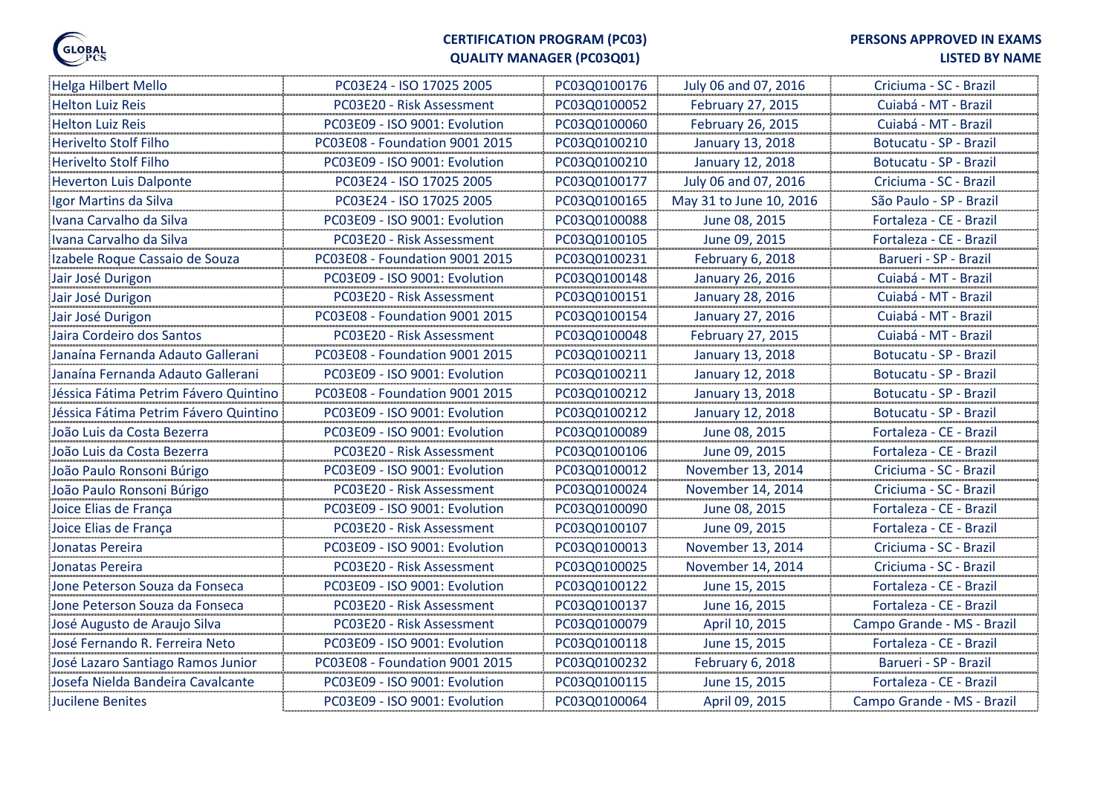

| <b>Helga Hilbert Mello</b>            | PC03E24 - ISO 17025 2005       | PC03Q0100176 | July 06 and 07, 2016    | Criciuma - SC - Brazil     |
|---------------------------------------|--------------------------------|--------------|-------------------------|----------------------------|
| <b>Helton Luiz Reis</b>               | PC03E20 - Risk Assessment      | PC03Q0100052 | February 27, 2015       | Cuiabá - MT - Brazil       |
| <b>Helton Luiz Reis</b>               | PC03E09 - ISO 9001: Evolution  | PC03Q0100060 | February 26, 2015       | Cuiabá - MT - Brazil       |
| <b>Herivelto Stolf Filho</b>          | PC03E08 - Foundation 9001 2015 | PC03Q0100210 | January 13, 2018        | Botucatu - SP - Brazil     |
| Herivelto Stolf Filho                 | PC03E09 - ISO 9001: Evolution  | PC03Q0100210 | January 12, 2018        | Botucatu - SP - Brazil     |
| <b>Heverton Luis Dalponte</b>         | PC03E24 - ISO 17025 2005       | PC03Q0100177 | July 06 and 07, 2016    | Criciuma - SC - Brazil     |
| Igor Martins da Silva                 | PC03E24 - ISO 17025 2005       | PC03Q0100165 | May 31 to June 10, 2016 | São Paulo - SP - Brazil    |
| Ivana Carvalho da Silva               | PC03E09 - ISO 9001: Evolution  | PC03Q0100088 | June 08, 2015           | Fortaleza - CE - Brazil    |
| Ivana Carvalho da Silva               | PC03E20 - Risk Assessment      | PC03Q0100105 | June 09, 2015           | Fortaleza - CE - Brazil    |
| Izabele Roque Cassaio de Souza        | PC03E08 - Foundation 9001 2015 | PC03Q0100231 | February 6, 2018        | Barueri - SP - Brazil      |
| Jair José Durigon                     | PC03E09 - ISO 9001: Evolution  | PC03Q0100148 | January 26, 2016        | Cuiabá - MT - Brazil       |
| Jair José Durigon                     | PC03E20 - Risk Assessment      | PC03Q0100151 | January 28, 2016        | Cuiabá - MT - Brazil       |
| Jair José Durigon                     | PC03E08 - Foundation 9001 2015 | PC03Q0100154 | January 27, 2016        | Cuiabá - MT - Brazil       |
| Jaira Cordeiro dos Santos             | PC03E20 - Risk Assessment      | PC03Q0100048 | February 27, 2015       | Cuiabá - MT - Brazil       |
| Janaína Fernanda Adauto Gallerani     | PC03E08 - Foundation 9001 2015 | PC03Q0100211 | January 13, 2018        | Botucatu - SP - Brazil     |
| Janaína Fernanda Adauto Gallerani     | PC03E09 - ISO 9001: Evolution  | PC03Q0100211 | January 12, 2018        | Botucatu - SP - Brazil     |
| Jéssica Fátima Petrim Fávero Quintino | PC03E08 - Foundation 9001 2015 | PC03Q0100212 | January 13, 2018        | Botucatu - SP - Brazil     |
| Jéssica Fátima Petrim Fávero Quintino | PC03E09 - ISO 9001: Evolution  | PC03Q0100212 | January 12, 2018        | Botucatu - SP - Brazil     |
| João Luis da Costa Bezerra            | PC03E09 - ISO 9001: Evolution  | PC03Q0100089 | June 08, 2015           | Fortaleza - CE - Brazil    |
| João Luis da Costa Bezerra            | PC03E20 - Risk Assessment      | PC03Q0100106 | June 09, 2015           | Fortaleza - CE - Brazil    |
| João Paulo Ronsoni Búrigo             | PC03E09 - ISO 9001: Evolution  | PC03Q0100012 | November 13, 2014       | Criciuma - SC - Brazil     |
| João Paulo Ronsoni Búrigo             | PC03E20 - Risk Assessment      | PC03Q0100024 | November 14, 2014       | Criciuma - SC - Brazil     |
| Joice Elias de França                 | PC03E09 - ISO 9001: Evolution  | PC03Q0100090 | June 08, 2015           | Fortaleza - CE - Brazil    |
| Joice Elias de França                 | PC03E20 - Risk Assessment      | PC03Q0100107 | June 09, 2015           | Fortaleza - CE - Brazil    |
| Jonatas Pereira                       | PC03E09 - ISO 9001: Evolution  | PC03Q0100013 | November 13, 2014       | Criciuma - SC - Brazil     |
| Jonatas Pereira                       | PC03E20 - Risk Assessment      | PC03Q0100025 | November 14, 2014       | Criciuma - SC - Brazil     |
| Jone Peterson Souza da Fonseca        | PC03E09 - ISO 9001: Evolution  | PC03Q0100122 | June 15, 2015           | Fortaleza - CE - Brazil    |
| Jone Peterson Souza da Fonseca        | PC03E20 - Risk Assessment      | PC03Q0100137 | June 16, 2015           | Fortaleza - CE - Brazil    |
| José Augusto de Araujo Silva          | PC03E20 - Risk Assessment      | PC03Q0100079 | April 10, 2015          | Campo Grande - MS - Brazil |
| José Fernando R. Ferreira Neto        | PC03E09 - ISO 9001: Evolution  | PC03Q0100118 | June 15, 2015           | Fortaleza - CE - Brazil    |
| José Lazaro Santiago Ramos Junior     | PC03E08 - Foundation 9001 2015 | PC03Q0100232 | February 6, 2018        | Barueri - SP - Brazil      |
| Josefa Nielda Bandeira Cavalcante     | PC03E09 - ISO 9001: Evolution  | PC03Q0100115 | June 15, 2015           | Fortaleza - CE - Brazil    |
| Jucilene Benites                      | PC03E09 - ISO 9001: Evolution  | PC03Q0100064 | April 09, 2015          | Campo Grande - MS - Brazil |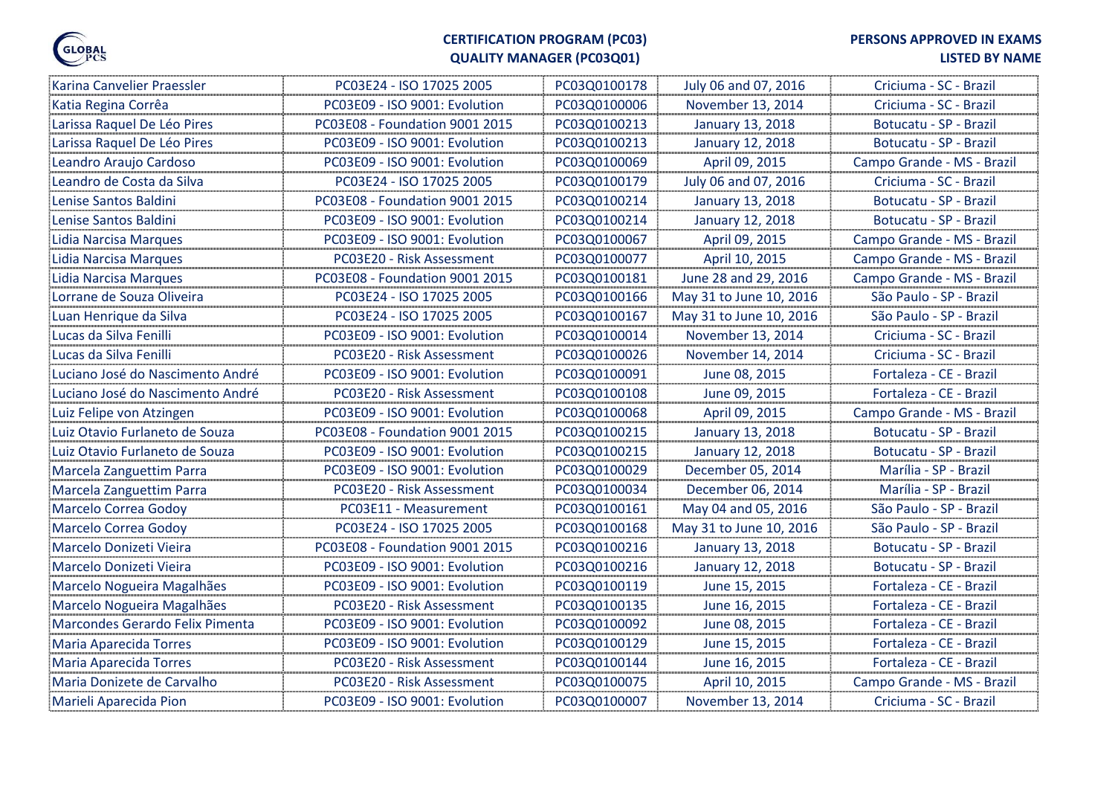

#### **PERSONS APPROVED IN EXAMS**

| Karina Canvelier Praessler       | PC03E24 - ISO 17025 2005       | PC03Q0100178 | July 06 and 07, 2016    | Criciuma - SC - Brazil     |
|----------------------------------|--------------------------------|--------------|-------------------------|----------------------------|
| Katia Regina Corrêa              | PC03E09 - ISO 9001: Evolution  | PC03Q0100006 | November 13, 2014       | Criciuma - SC - Brazil     |
| Larissa Raquel De Léo Pires      | PC03E08 - Foundation 9001 2015 | PC03Q0100213 | January 13, 2018        | Botucatu - SP - Brazil     |
| Larissa Raquel De Léo Pires      | PC03E09 - ISO 9001: Evolution  | PC03Q0100213 | January 12, 2018        | Botucatu - SP - Brazil     |
| Leandro Araujo Cardoso           | PC03E09 - ISO 9001: Evolution  | PC03Q0100069 | April 09, 2015          | Campo Grande - MS - Brazil |
| Leandro de Costa da Silva        | PC03E24 - ISO 17025 2005       | PC03Q0100179 | July 06 and 07, 2016    | Criciuma - SC - Brazil     |
| Lenise Santos Baldini            | PC03E08 - Foundation 9001 2015 | PC03Q0100214 | January 13, 2018        | Botucatu - SP - Brazil     |
| Lenise Santos Baldini            | PC03E09 - ISO 9001: Evolution  | PC03Q0100214 | January 12, 2018        | Botucatu - SP - Brazil     |
| Lidia Narcisa Marques            | PC03E09 - ISO 9001: Evolution  | PC03Q0100067 | April 09, 2015          | Campo Grande - MS - Brazil |
| Lidia Narcisa Marques            | PC03E20 - Risk Assessment      | PC03Q0100077 | April 10, 2015          | Campo Grande - MS - Brazil |
| Lidia Narcisa Marques            | PC03E08 - Foundation 9001 2015 | PC03Q0100181 | June 28 and 29, 2016    | Campo Grande - MS - Brazil |
| Lorrane de Souza Oliveira        | PC03E24 - ISO 17025 2005       | PC03Q0100166 | May 31 to June 10, 2016 | São Paulo - SP - Brazil    |
| Luan Henrique da Silva           | PC03E24 - ISO 17025 2005       | PC03Q0100167 | May 31 to June 10, 2016 | São Paulo - SP - Brazil    |
| Lucas da Silva Fenilli           | PC03E09 - ISO 9001: Evolution  | PC03Q0100014 | November 13, 2014       | Criciuma - SC - Brazil     |
| Lucas da Silva Fenilli           | PC03E20 - Risk Assessment      | PC03Q0100026 | November 14, 2014       | Criciuma - SC - Brazil     |
| Luciano José do Nascimento André | PC03E09 - ISO 9001: Evolution  | PC03Q0100091 | June 08, 2015           | Fortaleza - CE - Brazil    |
| Luciano José do Nascimento André | PC03E20 - Risk Assessment      | PC03Q0100108 | June 09, 2015           | Fortaleza - CE - Brazil    |
| Luiz Felipe von Atzingen         | PC03E09 - ISO 9001: Evolution  | PC03Q0100068 | April 09, 2015          | Campo Grande - MS - Brazil |
| Luiz Otavio Furlaneto de Souza   | PC03E08 - Foundation 9001 2015 | PC03Q0100215 | January 13, 2018        | Botucatu - SP - Brazil     |
| Luiz Otavio Furlaneto de Souza   | PC03E09 - ISO 9001: Evolution  | PC03Q0100215 | January 12, 2018        | Botucatu - SP - Brazil     |
| Marcela Zanguettim Parra         | PC03E09 - ISO 9001: Evolution  | PC03Q0100029 | December 05, 2014       | Marília - SP - Brazil      |
| Marcela Zanguettim Parra         | PC03E20 - Risk Assessment      | PC03Q0100034 | December 06, 2014       | Marília - SP - Brazil      |
| <b>Marcelo Correa Godoy</b>      | PC03E11 - Measurement          | PC03Q0100161 | May 04 and 05, 2016     | São Paulo - SP - Brazil    |
| <b>Marcelo Correa Godoy</b>      | PC03E24 - ISO 17025 2005       | PC03Q0100168 | May 31 to June 10, 2016 | São Paulo - SP - Brazil    |
| Marcelo Donizeti Vieira          | PC03E08 - Foundation 9001 2015 | PC03Q0100216 | January 13, 2018        | Botucatu - SP - Brazil     |
| Marcelo Donizeti Vieira          | PC03E09 - ISO 9001: Evolution  | PC03Q0100216 | January 12, 2018        | Botucatu - SP - Brazil     |
| Marcelo Nogueira Magalhães       | PC03E09 - ISO 9001: Evolution  | PC03Q0100119 | June 15, 2015           | Fortaleza - CE - Brazil    |
| Marcelo Nogueira Magalhães       | PC03E20 - Risk Assessment      | PC03Q0100135 | June 16, 2015           | Fortaleza - CE - Brazil    |
| Marcondes Gerardo Felix Pimenta  | PC03E09 - ISO 9001: Evolution  | PC03Q0100092 | June 08, 2015           | Fortaleza - CE - Brazil    |
| Maria Aparecida Torres           | PC03E09 - ISO 9001: Evolution  | PC03Q0100129 | June 15, 2015           | Fortaleza - CE - Brazil    |
| Maria Aparecida Torres           | PC03E20 - Risk Assessment      | PC03Q0100144 | June 16, 2015           | Fortaleza - CE - Brazil    |
| Maria Donizete de Carvalho       | PC03E20 - Risk Assessment      | PC03Q0100075 | April 10, 2015          | Campo Grande - MS - Brazil |
| Marieli Aparecida Pion           | PC03E09 - ISO 9001: Evolution  | PC03Q0100007 | November 13, 2014       | Criciuma - SC - Brazil     |
|                                  |                                |              |                         |                            |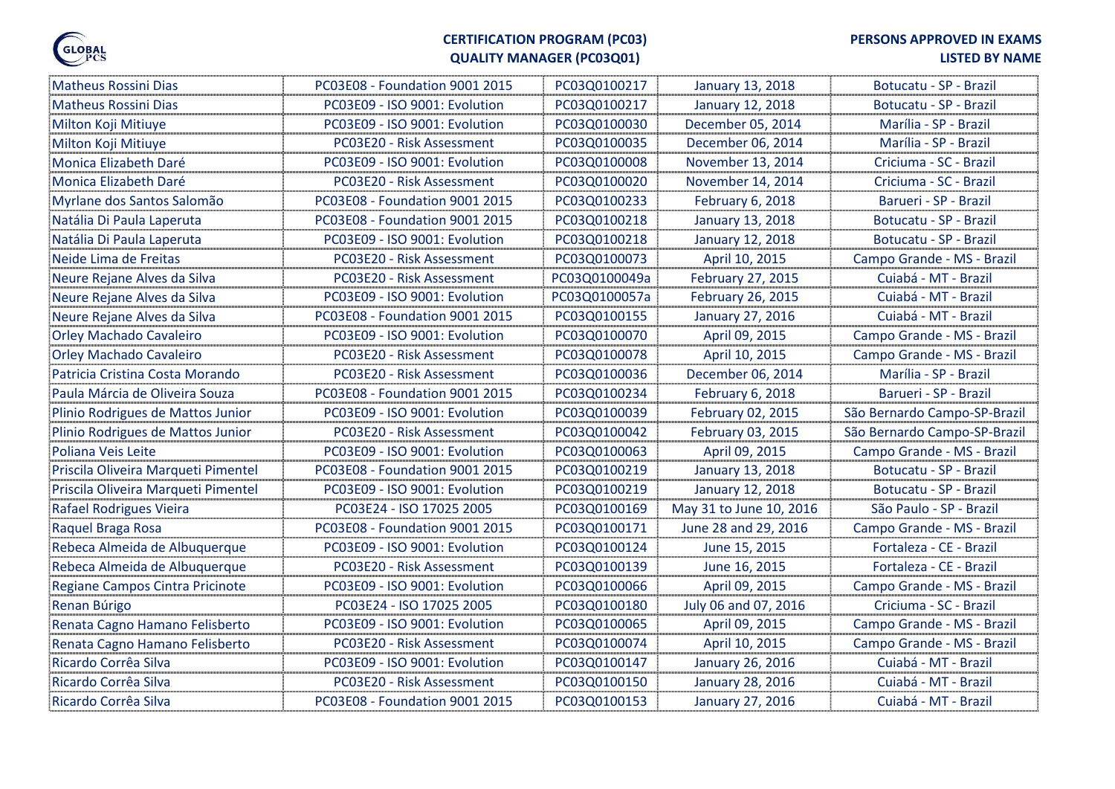

#### **PERSONS APPROVED IN EXAMS**

| Matheus Rossini Dias                | PC03E08 - Foundation 9001 2015        | PC03Q0100217  | January 13, 2018        | Botucatu - SP - Brazil       |
|-------------------------------------|---------------------------------------|---------------|-------------------------|------------------------------|
| <b>Matheus Rossini Dias</b>         | PC03E09 - ISO 9001: Evolution         | PC03Q0100217  | January 12, 2018        | Botucatu - SP - Brazil       |
| Milton Koji Mitiuye                 | PC03E09 - ISO 9001: Evolution         | PC03Q0100030  | December 05, 2014       | Marília - SP - Brazil        |
| Milton Koji Mitiuye                 | PC03E20 - Risk Assessment             | PC03Q0100035  | December 06, 2014       | Marília - SP - Brazil        |
| Monica Elizabeth Daré               | PC03E09 - ISO 9001: Evolution         | PC03Q0100008  | November 13, 2014       | Criciuma - SC - Brazil       |
| Monica Elizabeth Daré               | PC03E20 - Risk Assessment             | PC03Q0100020  | November 14, 2014       | Criciuma - SC - Brazil       |
| Myrlane dos Santos Salomão          | <b>PC03E08 - Foundation 9001 2015</b> | PC03Q0100233  | February 6, 2018        | Barueri - SP - Brazil        |
| Natália Di Paula Laperuta           | PC03E08 - Foundation 9001 2015        | PC03Q0100218  | January 13, 2018        | Botucatu - SP - Brazil       |
| Natália Di Paula Laperuta           | PC03E09 - ISO 9001: Evolution         | PC03Q0100218  | January 12, 2018        | Botucatu - SP - Brazil       |
| Neide Lima de Freitas               | PC03E20 - Risk Assessment             | PC03Q0100073  | April 10, 2015          | Campo Grande - MS - Brazil   |
| Neure Rejane Alves da Silva         | PC03E20 - Risk Assessment             | PC03Q0100049a | February 27, 2015       | Cuiabá - MT - Brazil         |
| Neure Rejane Alves da Silva         | PC03E09 - ISO 9001: Evolution         | PC03Q0100057a | February 26, 2015       | Cuiabá - MT - Brazil         |
| Neure Rejane Alves da Silva         | PC03E08 - Foundation 9001 2015        | PC03Q0100155  | January 27, 2016        | Cuiabá - MT - Brazil         |
| <b>Orley Machado Cavaleiro</b>      | PC03E09 - ISO 9001: Evolution         | PC03Q0100070  | April 09, 2015          | Campo Grande - MS - Brazil   |
| <b>Orley Machado Cavaleiro</b>      | PC03E20 - Risk Assessment             | PC03Q0100078  | April 10, 2015          | Campo Grande - MS - Brazil   |
| Patricia Cristina Costa Morando     | PC03E20 - Risk Assessment             | PC03Q0100036  | December 06, 2014       | Marília - SP - Brazil        |
| Paula Márcia de Oliveira Souza      | PC03E08 - Foundation 9001 2015        | PC03Q0100234  | February 6, 2018        | Barueri - SP - Brazil        |
| Plinio Rodrigues de Mattos Junior   | PC03E09 - ISO 9001: Evolution         | PC03Q0100039  | February 02, 2015       | São Bernardo Campo-SP-Brazil |
| Plinio Rodrigues de Mattos Junior   | PC03E20 - Risk Assessment             | PC03Q0100042  | February 03, 2015       | São Bernardo Campo-SP-Brazil |
| Poliana Veis Leite                  | PC03E09 - ISO 9001: Evolution         | PC03Q0100063  | April 09, 2015          | Campo Grande - MS - Brazil   |
| Priscila Oliveira Marqueti Pimentel | PC03E08 - Foundation 9001 2015        | PC03Q0100219  | January 13, 2018        | Botucatu - SP - Brazil       |
| Priscila Oliveira Marqueti Pimentel | PC03E09 - ISO 9001: Evolution         | PC03Q0100219  | January 12, 2018        | Botucatu - SP - Brazil       |
| Rafael Rodrigues Vieira             | PC03E24 - ISO 17025 2005              | PC03Q0100169  | May 31 to June 10, 2016 | São Paulo - SP - Brazil      |
| Raquel Braga Rosa                   | PC03E08 - Foundation 9001 2015        | PC03Q0100171  | June 28 and 29, 2016    | Campo Grande - MS - Brazil   |
| Rebeca Almeida de Albuquerque       | PC03E09 - ISO 9001: Evolution         | PC03Q0100124  | June 15, 2015           | Fortaleza - CE - Brazil      |
| Rebeca Almeida de Albuquerque       | PC03E20 - Risk Assessment             | PC03Q0100139  | June 16, 2015           | Fortaleza - CE - Brazil      |
| Regiane Campos Cintra Pricinote     | PC03E09 - ISO 9001: Evolution         | PC03Q0100066  | April 09, 2015          | Campo Grande - MS - Brazil   |
| Renan Búrigo                        | PC03E24 - ISO 17025 2005              | PC03Q0100180  | July 06 and 07, 2016    | Criciuma - SC - Brazil       |
| Renata Cagno Hamano Felisberto      | PC03E09 - ISO 9001: Evolution         | PC03Q0100065  | April 09, 2015          | Campo Grande - MS - Brazil   |
| Renata Cagno Hamano Felisberto      | PC03E20 - Risk Assessment             | PC03Q0100074  | April 10, 2015          | Campo Grande - MS - Brazil   |
| Ricardo Corrêa Silva                | PC03E09 - ISO 9001: Evolution         | PC03Q0100147  | January 26, 2016        | Cuiabá - MT - Brazil         |
| Ricardo Corrêa Silva                | PC03E20 - Risk Assessment             | PC03Q0100150  | January 28, 2016        | Cuiabá - MT - Brazil         |
| Ricardo Corrêa Silva                | PC03E08 - Foundation 9001 2015        | PC03Q0100153  | January 27, 2016        | Cuiabá - MT - Brazil         |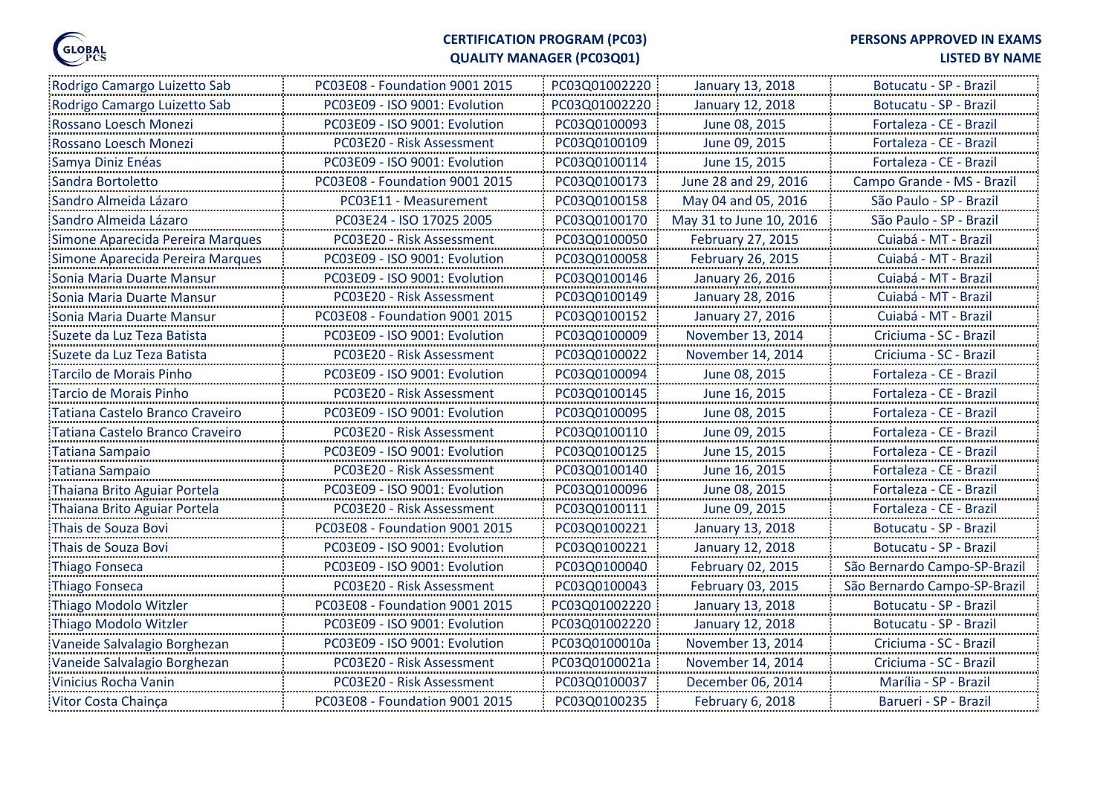

### **QUALITY MANAGER (PC03Q01)**

| Rodrigo Camargo Luizetto Sab     | PC03E08 - Foundation 9001 2015 | PC03Q01002220 | January 13, 2018        | Botucatu - SP - Brazil       |
|----------------------------------|--------------------------------|---------------|-------------------------|------------------------------|
| Rodrigo Camargo Luizetto Sab     | PC03E09 - ISO 9001: Evolution  | PC03Q01002220 | January 12, 2018        | Botucatu - SP - Brazil       |
| Rossano Loesch Monezi            | PC03E09 - ISO 9001: Evolution  | PC03Q0100093  | June 08, 2015           | Fortaleza - CE - Brazil      |
| Rossano Loesch Monezi            | PC03E20 - Risk Assessment      | PC03Q0100109  | June 09, 2015           | Fortaleza - CE - Brazil      |
| Samya Diniz Enéas                | PC03E09 - ISO 9001: Evolution  | PC03Q0100114  | June 15, 2015           | Fortaleza - CE - Brazil      |
| Sandra Bortoletto                | PC03E08 - Foundation 9001 2015 | PC03Q0100173  | June 28 and 29, 2016    | Campo Grande - MS - Brazil   |
| Sandro Almeida Lázaro            | PC03E11 - Measurement          | PC03Q0100158  | May 04 and 05, 2016     | São Paulo - SP - Brazil      |
| Sandro Almeida Lázaro            | PC03E24 - ISO 17025 2005       | PC03Q0100170  | May 31 to June 10, 2016 | São Paulo - SP - Brazil      |
| Simone Aparecida Pereira Marques | PC03E20 - Risk Assessment      | PC03Q0100050  | February 27, 2015       | Cuiabá - MT - Brazil         |
| Simone Aparecida Pereira Marques | PC03E09 - ISO 9001: Evolution  | PC03Q0100058  | February 26, 2015       | Cuiabá - MT - Brazil         |
| Sonia Maria Duarte Mansur        | PC03E09 - ISO 9001: Evolution  | PC03Q0100146  | January 26, 2016        | Cuiabá - MT - Brazil         |
| Sonia Maria Duarte Mansur        | PC03E20 - Risk Assessment      | PC03Q0100149  | January 28, 2016        | Cuiabá - MT - Brazil         |
| Sonia Maria Duarte Mansur        | PC03E08 - Foundation 9001 2015 | PC03Q0100152  | January 27, 2016        | Cuiabá - MT - Brazil         |
| Suzete da Luz Teza Batista       | PC03E09 - ISO 9001: Evolution  | PC03Q0100009  | November 13, 2014       | Criciuma - SC - Brazil       |
| Suzete da Luz Teza Batista       | PC03E20 - Risk Assessment      | PC03Q0100022  | November 14, 2014       | Criciuma - SC - Brazil       |
| Tarcilo de Morais Pinho          | PC03E09 - ISO 9001: Evolution  | PC03Q0100094  | June 08, 2015           | Fortaleza - CE - Brazil      |
| Tarcio de Morais Pinho           | PC03E20 - Risk Assessment      | PC03Q0100145  | June 16, 2015           | Fortaleza - CE - Brazil      |
| Tatiana Castelo Branco Craveiro  | PC03E09 - ISO 9001: Evolution  | PC03Q0100095  | June 08, 2015           | Fortaleza - CE - Brazil      |
| Tatiana Castelo Branco Craveiro  | PC03E20 - Risk Assessment      | PC03Q0100110  | June 09, 2015           | Fortaleza - CE - Brazil      |
| Tatiana Sampaio                  | PC03E09 - ISO 9001: Evolution  | PC03Q0100125  | June 15, 2015           | Fortaleza - CE - Brazil      |
| <b>Tatiana Sampaio</b>           | PC03E20 - Risk Assessment      | PC03Q0100140  | June 16, 2015           | Fortaleza - CE - Brazil      |
| Thaiana Brito Aguiar Portela     | PC03E09 - ISO 9001: Evolution  | PC03Q0100096  | June 08, 2015           | Fortaleza - CE - Brazil      |
| Thaiana Brito Aguiar Portela     | PC03E20 - Risk Assessment      | PC03Q0100111  | June 09, 2015           | Fortaleza - CE - Brazil      |
| Thais de Souza Bovi              | PC03E08 - Foundation 9001 2015 | PC03Q0100221  | January 13, 2018        | Botucatu - SP - Brazil       |
| Thais de Souza Bovi              | PC03E09 - ISO 9001: Evolution  | PC03Q0100221  | January 12, 2018        | Botucatu - SP - Brazil       |
| Thiago Fonseca                   | PC03E09 - ISO 9001: Evolution  | PC03Q0100040  | February 02, 2015       | São Bernardo Campo-SP-Brazil |
| <b>Thiago Fonseca</b>            | PC03E20 - Risk Assessment      | PC03Q0100043  | February 03, 2015       | São Bernardo Campo-SP-Brazil |
| Thiago Modolo Witzler            | PC03E08 - Foundation 9001 2015 | PC03Q01002220 | January 13, 2018        | Botucatu - SP - Brazil       |
| Thiago Modolo Witzler            | PC03E09 - ISO 9001: Evolution  | PC03Q01002220 | January 12, 2018        | Botucatu - SP - Brazil       |
| Vaneide Salvalagio Borghezan     | PC03E09 - ISO 9001: Evolution  | PC03Q0100010a | November 13, 2014       | Criciuma - SC - Brazil       |
| Vaneide Salvalagio Borghezan     | PC03E20 - Risk Assessment      | PC03Q0100021a | November 14, 2014       | Criciuma - SC - Brazil       |
| <b>Vinicius Rocha Vanin</b>      | PC03E20 - Risk Assessment      | PC03Q0100037  | December 06, 2014       | Marília - SP - Brazil        |
| Vitor Costa Chainça              | PC03E08 - Foundation 9001 2015 | PC03Q0100235  | February 6, 2018        | Barueri - SP - Brazil        |
|                                  |                                |               |                         |                              |